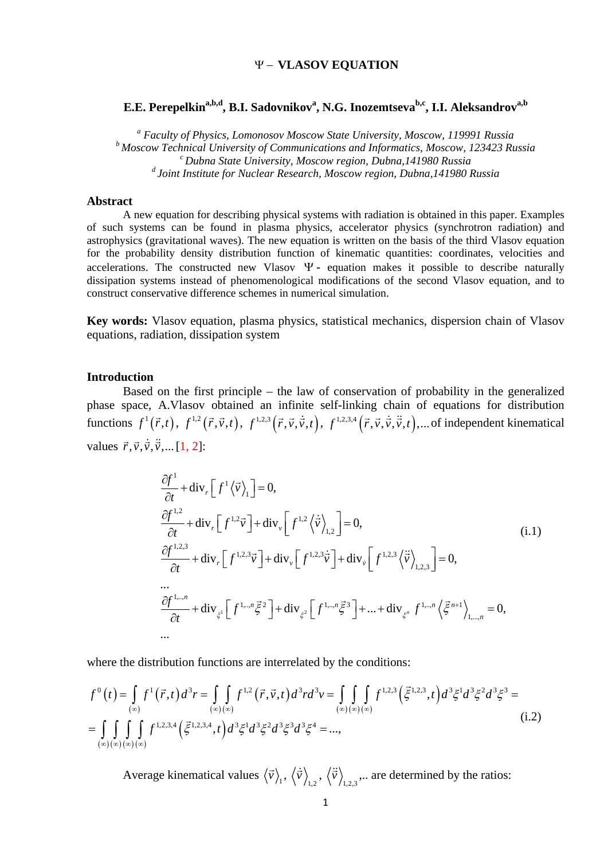# Ψ − **VLASOV EQUATION**

# **E.E. Perepelkin** $\mathrm{a,b,d}$  **, B.I. Sadovnikov** $\mathrm{a}$ **, N.G. Inozemtseva** $\mathrm{^{b,c}}$ **, I.I. Aleksandrov** $\mathrm{^{a,b}}$

*<sup>a</sup> Faculty of Physics, Lomonosov Moscow State University, Moscow, 119991 Russia b Moscow Technical University of Communications and Informatics, Moscow, 123423 Russia c Dubna State University, Moscow region, Dubna,141980 Russia d Joint Institute for Nuclear Research, Moscow region, Dubna,141980 Russia*

# **Abstract**

A new equation for describing physical systems with radiation is obtained in this paper. Examples of such systems can be found in plasma physics, accelerator physics (synchrotron radiation) and astrophysics (gravitational waves). The new equation is written on the basis of the third Vlasov equation for the probability density distribution function of kinematic quantities: coordinates, velocities and accelerations. The constructed new Vlasov  $\Psi$ - equation makes it possible to describe naturally dissipation systems instead of phenomenological modifications of the second Vlasov equation, and to construct conservative difference schemes in numerical simulation.

**Key words:** Vlasov equation, plasma physics, statistical mechanics, dispersion chain of Vlasov equations, radiation, dissipation system

# **Introduction**

Based on the first principle – the law of conservation of probability in the generalized phase space, A.Vlasov obtained an infinite self-linking chain of equations for distribution functions  $f^1(\vec{r},t)$ ,  $f^{1,2}(\vec{r},\vec{v},t)$ ,  $f^{1,2,3}(\vec{r},\vec{v},\dot{\vec{v}},t)$ ,  $f^{1,2,3,4}(\vec{r},\vec{v},\dot{\vec{v}},\dot{\vec{v}},t)$ ,... of independent kinematical values  $\vec{r}, \vec{v}, \dot{\vec{v}}, \ddot{\vec{v}}, \dots$  [1, 2]:

$$
\frac{\partial f^1}{\partial t} + \text{div}_r \left[ f^1 \langle \vec{v} \rangle_1 \right] = 0,
$$
\n
$$
\frac{\partial f^{1,2}}{\partial t} + \text{div}_r \left[ f^{1,2} \vec{v} \right] + \text{div}_v \left[ f^{1,2} \langle \dot{\vec{v}} \rangle_{1,2} \right] = 0,
$$
\n(i.1)\n
$$
\frac{\partial f^{1,2,3}}{\partial t} + \text{div}_r \left[ f^{1,2,3} \vec{v} \right] + \text{div}_v \left[ f^{1,2,3} \dot{\vec{v}} \right] + \text{div}_v \left[ f^{1,2,3} \langle \dot{\vec{v}} \rangle_{1,2,3} \right] = 0,
$$
\n
$$
\dots
$$
\n
$$
\frac{\partial f^{1,\dots n}}{\partial t} + \text{div}_{\xi^1} \left[ f^{1,\dots n} \vec{\xi}^2 \right] + \text{div}_{\xi^2} \left[ f^{1,\dots n} \vec{\xi}^3 \right] + \dots + \text{div}_{\xi^n} f^{1,\dots n} \langle \vec{\xi}^{n+1} \rangle_{1,\dots,n} = 0,
$$
\n
$$
\dots
$$

where the distribution functions are interrelated by the conditions:

$$
f^{0}(t) = \int_{(\infty)} f^{1}(\vec{r}, t) d^{3}r = \int_{(\infty)(\infty)} f^{1,2}(\vec{r}, \vec{v}, t) d^{3}rd^{3}v = \int_{(\infty)(\infty)(\infty)} \int_{(\infty)(\infty)} f^{1,2,3}(\vec{\xi}^{1,2,3}, t) d^{3}\xi^{1} d^{3}\xi^{2} d^{3}\xi^{3} =
$$
  
= 
$$
\int_{(\infty)(\infty)(\infty)(\infty)} \int_{(\infty)(\infty)} f^{1,2,3,4}(\vec{\xi}^{1,2,3,4}, t) d^{3}\xi^{1} d^{3}\xi^{2} d^{3}\xi^{3} d^{3}\xi^{4} = ...,
$$
 (i.2)

Average kinematical values  $\langle \vec{v} \rangle_1$ ,  $\langle \dot{\vec{v}} \rangle_{1,2}$ ,  $\langle \dot{\vec{v}} \rangle_{1,2,3}$ ... are determined by the ratios: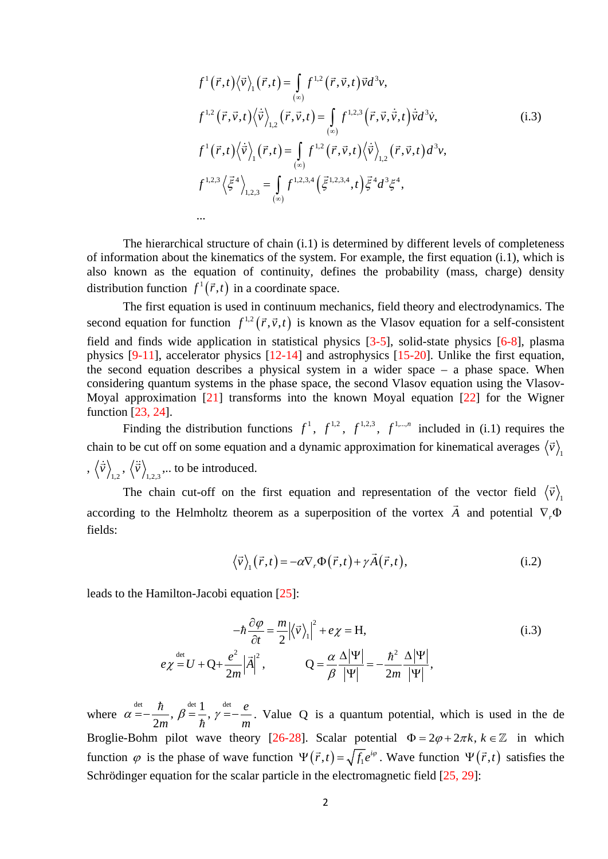$$
f^{1}(\vec{r},t)\langle\vec{v}\rangle_{1}(\vec{r},t) = \int_{(\infty)} f^{1,2}(\vec{r},\vec{v},t) \vec{v} d^{3}v,
$$
  
\n
$$
f^{1,2}(\vec{r},\vec{v},t)\langle\dot{\vec{v}}\rangle_{1,2}(\vec{r},\vec{v},t) = \int_{(\infty)} f^{1,2,3}(\vec{r},\vec{v},\dot{\vec{v}},t) \dot{\vec{v}} d^{3}v,
$$
  
\n
$$
f^{1}(\vec{r},t)\langle\dot{\vec{v}}\rangle_{1}(\vec{r},t) = \int_{(\infty)} f^{1,2}(\vec{r},\vec{v},t)\langle\dot{\vec{v}}\rangle_{1,2}(\vec{r},\vec{v},t) d^{3}v,
$$
  
\n
$$
f^{1,2,3}\langle\vec{\xi}^{4}\rangle_{1,2,3} = \int_{(\infty)} f^{1,2,3,4}(\vec{\xi}^{1,2,3,4},t)\vec{\xi}^{4}d^{3}\xi^{4},
$$
  
\n...

The hierarchical structure of chain (i.1) is determined by different levels of completeness of information about the kinematics of the system. For example, the first equation (i.1), which is also known as the equation of continuity, defines the probability (mass, charge) density distribution function  $f^1(\vec{r},t)$  in a coordinate space.

The first equation is used in continuum mechanics, field theory and electrodynamics. The second equation for function  $f^{1,2}(\vec{r}, \vec{v}, t)$  is known as the Vlasov equation for a self-consistent field and finds wide application in statistical physics [3-5], solid-state physics [6-8], plasma physics [9-11], accelerator physics [12-14] and astrophysics [15-20]. Unlike the first equation, the second equation describes a physical system in a wider space – a phase space. When considering quantum systems in the phase space, the second Vlasov equation using the Vlasov-Moyal approximation  $[21]$  transforms into the known Moyal equation  $[22]$  for the Wigner function [23, 24].

Finding the distribution functions  $f^1$ ,  $f^{1,2}$ ,  $f^{1,2,3}$ ,  $f^{1,...,n}$  included in (i.1) requires the chain to be cut off on some equation and a dynamic approximation for kinematical averages  $\langle \vec{v} \rangle$ <sup>1</sup>  $, \langle \dot{\vec{v}} \rangle_{1,2}, \langle \ddot{\vec{v}} \rangle_{1,2,3}$   $\dots$  to be introduced.

The chain cut-off on the first equation and representation of the vector field  $\langle \vec{v} \rangle$ <sup>1</sup> according to the Helmholtz theorem as a superposition of the vortex  $\vec{A}$  and potential  $\nabla_r \Phi$ fields:

$$
\langle \vec{v} \rangle_1 (\vec{r}, t) = -\alpha \nabla_r \Phi(\vec{r}, t) + \gamma \vec{A}(\vec{r}, t), \qquad (i.2)
$$

leads to the Hamilton-Jacobi equation [25]:

$$
-\hbar \frac{\partial \varphi}{\partial t} = \frac{m}{2} |\langle \vec{v} \rangle_1|^2 + e\chi = H,
$$
\n
$$
e\chi \stackrel{\text{det}}{=} U + Q + \frac{e^2}{2m} |\vec{A}|^2, \qquad Q = \frac{\alpha}{\beta} \frac{\Delta |\Psi|}{|\Psi|} = -\frac{\hbar^2}{2m} \frac{\Delta |\Psi|}{|\Psi|},
$$
\n(i.3)

where  $\alpha = -\frac{\hbar}{2m}, \beta = \frac{1}{\hbar}, \gamma = -\frac{e}{m}$ *m*<sup>*n*</sup> *h*<sup>*n*</sup> *m*  $\alpha = -\frac{\hbar}{2m}$ ,  $\beta = \frac{1}{\hbar}$ ,  $\gamma = -\frac{e}{m}$ . Value Q is a quantum potential, which is used in the de Broglie-Bohm pilot wave theory [26-28]. Scalar potential  $\Phi = 2\varphi + 2\pi k$ ,  $k \in \mathbb{Z}$  in which function  $\varphi$  is the phase of wave function  $\Psi(\vec{r}, t) = \sqrt{f_1}e^{i\varphi}$ . Wave function  $\Psi(\vec{r}, t)$  satisfies the Schrödinger equation for the scalar particle in the electromagnetic field [25, 29]: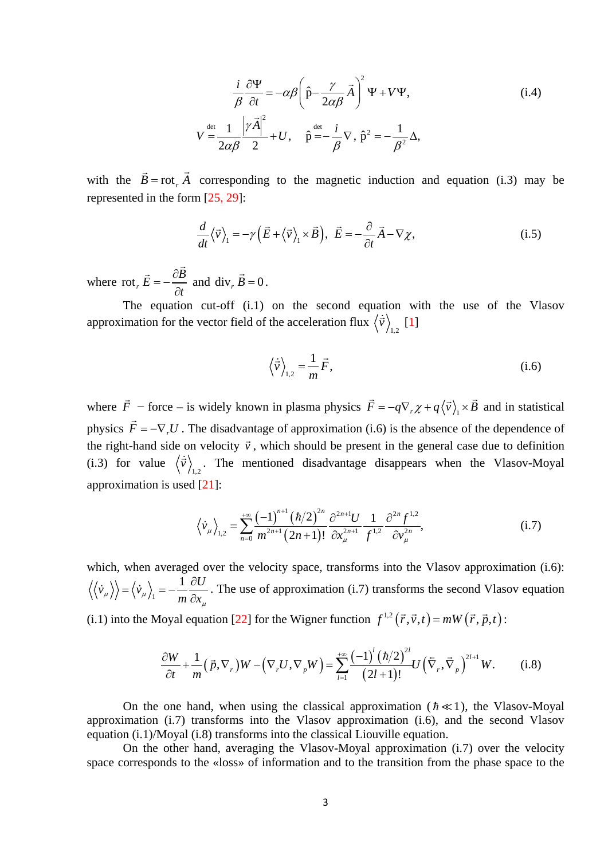$$
\frac{i}{\beta} \frac{\partial \Psi}{\partial t} = -\alpha \beta \left( \hat{p} - \frac{\gamma}{2\alpha \beta} \vec{A} \right)^2 \Psi + V \Psi,
$$
\n
$$
V \stackrel{\text{det}}{=} \frac{1}{2\alpha \beta} \frac{|\gamma \vec{A}|^2}{2} + U, \quad \hat{p} \stackrel{\text{det}}{=} -\frac{i}{\beta} \nabla, \quad \hat{p}^2 = -\frac{1}{\beta^2} \Delta,
$$
\n(i.4)

with the  $\vec{B} = \text{rot}_r \vec{A}$  corresponding to the magnetic induction and equation (i.3) may be represented in the form [25, 29]:

$$
\frac{d}{dt}\langle \vec{v} \rangle_1 = -\gamma \left( \vec{E} + \langle \vec{v} \rangle_1 \times \vec{B} \right), \ \vec{E} = -\frac{\partial}{\partial t} \vec{A} - \nabla \chi, \tag{i.5}
$$

where rot<sub>*r*</sub>  $\vec{E} = -\frac{\partial B}{\partial t}$  $\vec{E} = -\frac{\partial \vec{B}}{\partial t}$  and div<sub>r</sub>  $\vec{B} = 0$ .

The equation cut-off (i.1) on the second equation with the use of the Vlasov approximation for the vector field of the acceleration flux  $\langle \dot{\vec{v}} \rangle_{1,2}$  [1]

$$
\left\langle \dot{\vec{v}} \right\rangle_{1,2} = \frac{1}{m} \vec{F},\tag{i.6}
$$

where  $\vec{F}$  – force – is widely known in plasma physics  $\vec{F} = -q \nabla_r \chi + q \langle \vec{v} \rangle_1 \times \vec{B}$  and in statistical physics  $\vec{F} = -\nabla_r U$ . The disadvantage of approximation (i.6) is the absence of the dependence of the right-hand side on velocity  $\vec{v}$ , which should be present in the general case due to definition (i.3) for value  $\langle \dot{\vec{v}} \rangle_{1,2}$ . The mentioned disadvantage disappears when the Vlasov-Moyal approximation is used [21]:

$$
\left\langle \dot{v}_{\mu} \right\rangle_{1,2} = \sum_{n=0}^{+\infty} \frac{(-1)^{n+1} (\hbar/2)^{2n}}{m^{2n+1} (2n+1)!} \frac{\partial^{2n+1} U}{\partial x_{\mu}^{2n+1}} \frac{1}{f^{1,2}} \frac{\partial^{2n} f^{1,2}}{\partial v_{\mu}^{2n}},
$$
 (i.7)

which, when averaged over the velocity space, transforms into the Vlasov approximation (i.6): 1  $\langle \dot{v}_u \rangle = \langle \dot{v}_u \rangle = -\frac{1}{2} \frac{\partial U}{\partial u}$  $\langle \psi_{\mu} \rangle = \langle \psi_{\mu} \rangle_{1} = -\frac{1}{m} \frac{\partial U}{\partial x_{\mu}}$ . The use of approximation (i.7) transforms the second Vlasov equation  $\mu$ (i.1) into the Moyal equation [22] for the Wigner function  $f^{1,2}(\vec{r}, \vec{v}, t) = mW(\vec{r}, \vec{p}, t)$ :

$$
\frac{\partial W}{\partial t} + \frac{1}{m} \left( \vec{p}, \nabla_r \right) W - \left( \nabla_r U, \nabla_p W \right) = \sum_{l=1}^{+\infty} \frac{\left( -1 \right)^l \left( \hbar / 2 \right)^{2l}}{\left( 2l + 1 \right)!} U \left( \nabla_r, \vec{\nabla}_p \right)^{2l+1} W. \tag{i.8}
$$

On the one hand, when using the classical approximation ( $\hbar \ll 1$ ), the Vlasov-Moyal approximation (i.7) transforms into the Vlasov approximation (i.6), and the second Vlasov equation (i.1)/Moyal (i.8) transforms into the classical Liouville equation.

On the other hand, averaging the Vlasov-Moyal approximation (i.7) over the velocity space corresponds to the «loss» of information and to the transition from the phase space to the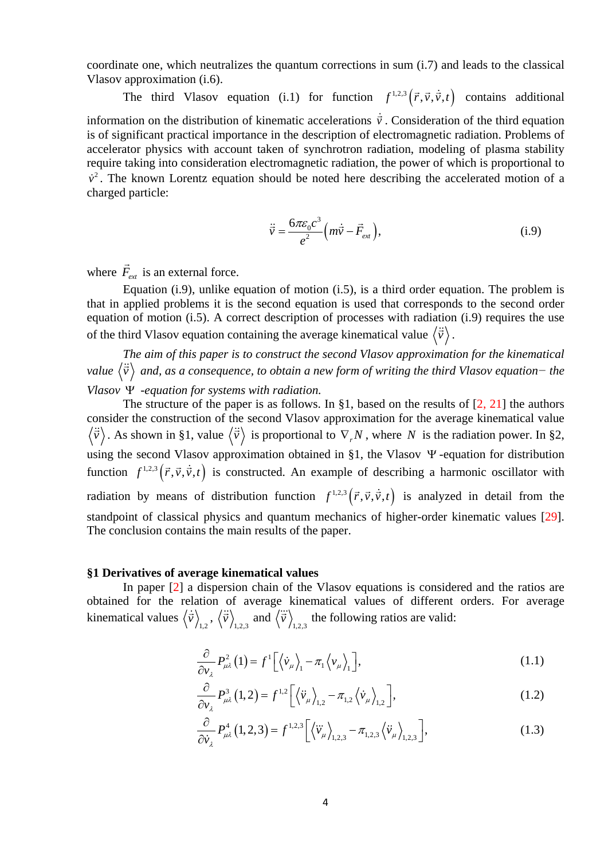coordinate one, which neutralizes the quantum corrections in sum (i.7) and leads to the classical Vlasov approximation (i.6).

The third Vlasov equation (i.1) for function  $f^{1,2,3}(\vec{r},\vec{v},\dot{\vec{v}},t)$  contains additional information on the distribution of kinematic accelerations  $\dot{\vec{v}}$ . Consideration of the third equation is of significant practical importance in the description of electromagnetic radiation. Problems of accelerator physics with account taken of synchrotron radiation, modeling of plasma stability require taking into consideration electromagnetic radiation, the power of which is proportional to  $\dot{v}^2$ . The known Lorentz equation should be noted here describing the accelerated motion of a charged particle:

$$
\ddot{\vec{v}} = \frac{6\pi\varepsilon_0 c^3}{e^2} \left(m\dot{\vec{v}} - \vec{F}_{ext}\right),\tag{i.9}
$$

where  $\vec{F}_{ext}$  is an external force.

Equation (i.9), unlike equation of motion (i.5), is a third order equation. The problem is that in applied problems it is the second equation is used that corresponds to the second order equation of motion (i.5). A correct description of processes with radiation (i.9) requires the use of the third Vlasov equation containing the average kinematical value  $\langle \ddot{\vec{v}} \rangle$ .

*The aim of this paper is to construct the second Vlasov approximation for the kinematical value v and, as a consequence, to obtain a new form of writing the third Vlasov equation− the Vlasov* Ψ *-equation for systems with radiation.*

The structure of the paper is as follows. In §1, based on the results of  $[2, 21]$  the authors consider the construction of the second Vlasov approximation for the average kinematical value  $\langle \vec{v} \rangle$ . As shown in §1, value  $\langle \vec{v} \rangle$  is proportional to  $\nabla_r N$ , where *N* is the radiation power. In §2, using the second Vlasov approximation obtained in §1, the Vlasov Ψ -equation for distribution function  $f^{1,2,3}(\vec{r},\vec{v},\dot{\vec{v}},t)$  is constructed. An example of describing a harmonic oscillator with radiation by means of distribution function  $f^{1,2,3}(\vec{r},\vec{v},\dot{\vec{v}},t)$  is analyzed in detail from the standpoint of classical physics and quantum mechanics of higher-order kinematic values [29]. The conclusion contains the main results of the paper.

#### **§1 Derivatives of average kinematical values**

In paper [2] a dispersion chain of the Vlasov equations is considered and the ratios are obtained for the relation of average kinematical values of different orders. For average kinematical values  $\langle \dot{\vec{v}} \rangle_{1,2}$ ,  $\langle \ddot{\vec{v}} \rangle_{1,2,3}$  and  $\langle \ddot{\vec{v}} \rangle_{1,2,3}$  the following ratios are valid:

$$
\frac{\partial}{\partial v_{\lambda}} P_{\mu\lambda}^{2} (1) = f^{1} \Big[ \langle \dot{v}_{\mu} \rangle_{1} - \pi_{1} \langle v_{\mu} \rangle_{1} \Big], \tag{1.1}
$$

$$
\frac{\partial}{\partial v_{\lambda}} P_{\mu\lambda}^{3} (1,2) = f^{1,2} \left[ \left\langle \ddot{v}_{\mu} \right\rangle_{1,2} - \pi_{1,2} \left\langle \dot{v}_{\mu} \right\rangle_{1,2} \right],
$$
 (1.2)

$$
\frac{\partial}{\partial \dot{v}_{\lambda}} P_{\mu\lambda}^{4} (1,2,3) = f^{1,2,3} \left[ \left\langle \ddot{v}_{\mu} \right\rangle_{1,2,3} - \pi_{1,2,3} \left\langle \ddot{v}_{\mu} \right\rangle_{1,2,3} \right],
$$
 (1.3)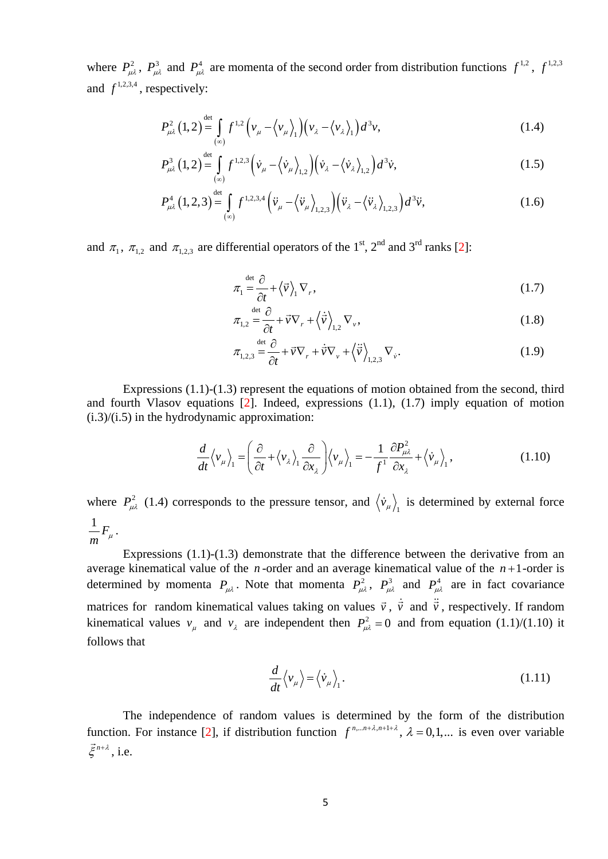where  $P_{\mu\lambda}^2$ ,  $P_{\mu\lambda}^3$  and  $P_{\mu\lambda}^4$  are momenta of the second order from distribution functions  $f^{1,2}$ ,  $f^{1,2,3}$ and  $f^{1,2,3,4}$ , respectively:

$$
P_{\mu\lambda}^2(1,2) \stackrel{\text{det}}{=} \int_{(\infty)} f^{1,2} \left( v_\mu - \left\langle v_\mu \right\rangle_1 \right) \left( v_\lambda - \left\langle v_\lambda \right\rangle_1 \right) d^3 v,\tag{1.4}
$$

$$
P_{\mu\lambda}^{3}(1,2) \stackrel{\text{det}}{=} \int_{(\infty)} f^{1,2,3} \left( \dot{v}_{\mu} - \left\langle \dot{v}_{\mu} \right\rangle_{1,2} \right) \left( \dot{v}_{\lambda} - \left\langle \dot{v}_{\lambda} \right\rangle_{1,2} \right) d^{3} \dot{v}, \tag{1.5}
$$

$$
P_{\mu\lambda}^4 (1,2,3) \stackrel{\text{det}}{=} \int_{(\infty)} f^{1,2,3,4} \left( \ddot{v}_{\mu} - \left\langle \ddot{v}_{\mu} \right\rangle_{1,2,3} \right) \left( \ddot{v}_{\lambda} - \left\langle \ddot{v}_{\lambda} \right\rangle_{1,2,3} \right) d^3 \ddot{v}, \tag{1.6}
$$

and  $\pi_1$ ,  $\pi_{1,2}$  and  $\pi_{1,2,3}$  are differential operators of the 1<sup>st</sup>, 2<sup>nd</sup> and 3<sup>rd</sup> ranks [2]:

$$
\pi_1 \stackrel{\text{det}}{=} \frac{\partial}{\partial t} + \langle \vec{v} \rangle_1 \nabla_r, \tag{1.7}
$$

$$
\pi_{1,2} \stackrel{\text{det}}{=} \frac{\partial}{\partial t} + \vec{v} \nabla_r + \left\langle \dot{\vec{v}} \right\rangle_{1,2} \nabla_v, \tag{1.8}
$$

$$
\pi_{1,2,3} \stackrel{\text{det}}{=} \frac{\partial}{\partial t} + \vec{v} \nabla_r + \dot{\vec{v}} \nabla_v + \left\langle \vec{v} \right\rangle_{1,2,3} \nabla_v.
$$
\n(1.9)

Expressions  $(1.1)-(1.3)$  represent the equations of motion obtained from the second, third and fourth Vlasov equations  $[2]$ . Indeed, expressions  $(1.1)$ ,  $(1.7)$  imply equation of motion  $(i.3)/(i.5)$  in the hydrodynamic approximation:

$$
\frac{d}{dt}\langle v_{\mu}\rangle_{1} = \left(\frac{\partial}{\partial t} + \langle v_{\lambda}\rangle_{1} \frac{\partial}{\partial x_{\lambda}}\right) \langle v_{\mu}\rangle_{1} = -\frac{1}{f^{1}}\frac{\partial P_{\mu\lambda}^{2}}{\partial x_{\lambda}} + \langle \dot{v}_{\mu}\rangle_{1},
$$
\n(1.10)

where  $P_{\mu\lambda}^2$  (1.4) corresponds to the pressure tensor, and  $\langle \dot{v}_{\mu} \rangle$  is determined by external force  $\frac{1}{m}F_{\mu}$ .

Expressions (1.1)-(1.3) demonstrate that the difference between the derivative from an average kinematical value of the  $n$ -order and an average kinematical value of the  $n+1$ -order is determined by momenta  $P_{\mu\lambda}$ . Note that momenta  $P_{\mu\lambda}^2$ ,  $P_{\mu\lambda}^3$  and  $P_{\mu\lambda}^4$  are in fact covariance matrices for random kinematical values taking on values  $\vec{v}$ ,  $\dot{\vec{v}}$  and  $\ddot{\vec{v}}$ , respectively. If random kinematical values  $v_{\mu}$  and  $v_{\lambda}$  are independent then  $P_{\mu\lambda}^2 = 0$  and from equation (1.1)/(1.10) it follows that

$$
\frac{d}{dt}\langle v_{\mu}\rangle = \langle \dot{v}_{\mu}\rangle_{1}.
$$
\n(1.11)

The independence of random values is determined by the form of the distribution function. For instance [2], if distribution function  $f^{n,...n+\lambda,n+1+\lambda}$ ,  $\lambda = 0,1,...$  is even over variable  $\vec{\xi}^{n+\lambda}$ , i.e.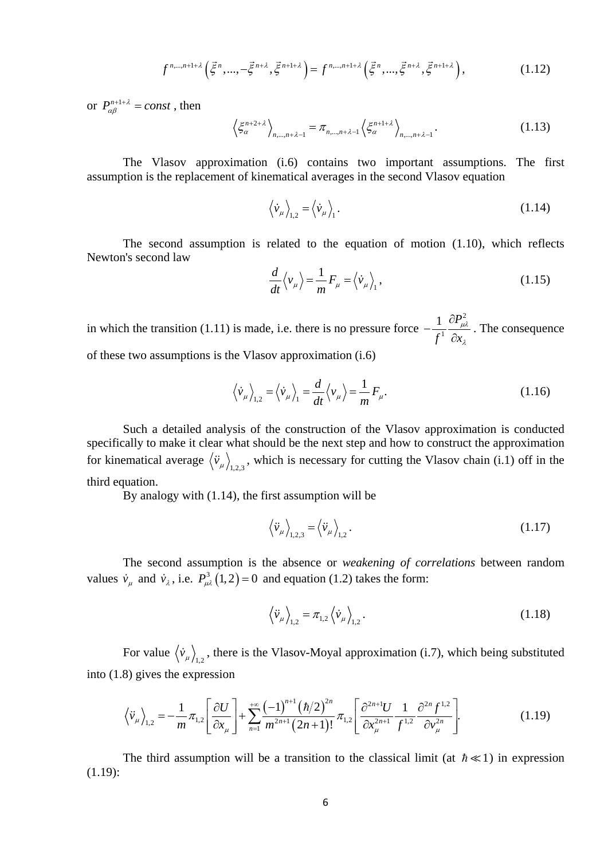$$
f^{n,...,n+1+\lambda}\left(\vec{\xi}^n,...,-\vec{\xi}^{n+\lambda},\vec{\xi}^{n+1+\lambda}\right) = f^{n,...,n+1+\lambda}\left(\vec{\xi}^n,...,\vec{\xi}^{n+\lambda},\vec{\xi}^{n+1+\lambda}\right),\tag{1.12}
$$

or  $P_{\alpha\beta}^{n+1+\lambda} = const$ , then

$$
\left\langle \xi_{\alpha}^{n+2+\lambda} \right\rangle_{n,\dots,n+\lambda-1} = \pi_{n,\dots,n+\lambda-1} \left\langle \xi_{\alpha}^{n+1+\lambda} \right\rangle_{n,\dots,n+\lambda-1}.
$$
 (1.13)

The Vlasov approximation (i.6) contains two important assumptions. The first assumption is the replacement of kinematical averages in the second Vlasov equation

$$
\langle \dot{v}_{\mu} \rangle_{1,2} = \langle \dot{v}_{\mu} \rangle_{1}.
$$
 (1.14)

The second assumption is related to the equation of motion (1.10), which reflects Newton's second law

$$
\frac{d}{dt}\langle v_{\mu}\rangle = \frac{1}{m}F_{\mu} = \langle \dot{v}_{\mu}\rangle_{1},\qquad(1.15)
$$

in which the transition (1.11) is made, i.e. there is no pressure force 2 1  $1 \partial P$  $f^1$   $\partial x$ µλ  $-\frac{1}{f^1} \frac{\partial P_{\mu\lambda}^2}{\partial x_\lambda}$ . The consequence of these two assumptions is the Vlasov approximation (i.6)

$$
\langle \dot{v}_{\mu} \rangle_{1,2} = \langle \dot{v}_{\mu} \rangle_{1} = \frac{d}{dt} \langle v_{\mu} \rangle = \frac{1}{m} F_{\mu}.
$$
 (1.16)

Such a detailed analysis of the construction of the Vlasov approximation is conducted specifically to make it clear what should be the next step and how to construct the approximation for kinematical average  $\langle \ddot{v}_\mu \rangle_{1,2,3}$ , which is necessary for cutting the Vlasov chain (i.1) off in the third equation.

By analogy with (1.14), the first assumption will be

$$
\left\langle \ddot{v}_{\mu} \right\rangle_{1,2,3} = \left\langle \ddot{v}_{\mu} \right\rangle_{1,2} . \tag{1.17}
$$

The second assumption is the absence or *weakening of correlations* between random values  $\dot{v}_{\mu}$  and  $\dot{v}_{\lambda}$ , i.e.  $P_{\mu\lambda}^3(1,2) = 0$  and equation (1.2) takes the form:

$$
\langle \ddot{v}_{\mu} \rangle_{1,2} = \pi_{1,2} \langle \dot{v}_{\mu} \rangle_{1,2}.
$$
 (1.18)

For value  $\langle \dot{v}_{\mu} \rangle_{1,2}$ , there is the Vlasov-Moyal approximation (i.7), which being substituted into (1.8) gives the expression

$$
\left\langle \ddot{v}_{\mu} \right\rangle_{1,2} = -\frac{1}{m} \pi_{1,2} \left[ \frac{\partial U}{\partial x_{\mu}} \right] + \sum_{n=1}^{+\infty} \frac{(-1)^{n+1} (\hbar/2)^{2n}}{m^{2n+1} (2n+1)!} \pi_{1,2} \left[ \frac{\partial^{2n+1} U}{\partial x_{\mu}^{2n+1}} \frac{1}{f^{1,2}} \frac{\partial^{2n} f^{1,2}}{\partial v_{\mu}^{2n}} \right].
$$
 (1.19)

The third assumption will be a transition to the classical limit (at  $\hbar \ll 1$ ) in expression (1.19):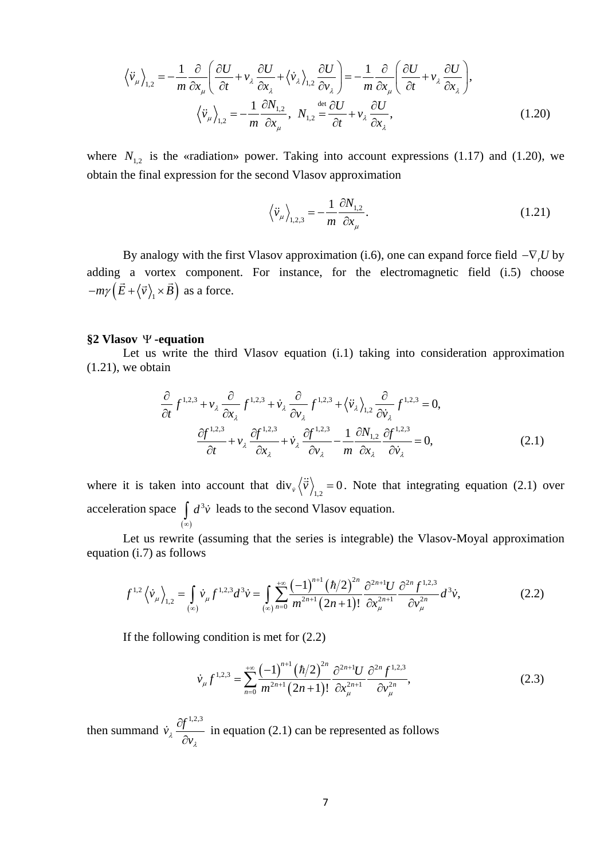$$
\left\langle \ddot{v}_{\mu} \right\rangle_{1,2} = -\frac{1}{m} \frac{\partial}{\partial x_{\mu}} \left( \frac{\partial U}{\partial t} + v_{\lambda} \frac{\partial U}{\partial x_{\lambda}} + \left\langle \dot{v}_{\lambda} \right\rangle_{1,2} \frac{\partial U}{\partial v_{\lambda}} \right) = -\frac{1}{m} \frac{\partial}{\partial x_{\mu}} \left( \frac{\partial U}{\partial t} + v_{\lambda} \frac{\partial U}{\partial x_{\lambda}} \right),
$$

$$
\left\langle \ddot{v}_{\mu} \right\rangle_{1,2} = -\frac{1}{m} \frac{\partial N_{1,2}}{\partial x_{\mu}}, \quad N_{1,2} \stackrel{\text{det}}{=} \frac{\partial U}{\partial t} + v_{\lambda} \frac{\partial U}{\partial x_{\lambda}},
$$
(1.20)

where  $N_{1,2}$  is the «radiation» power. Taking into account expressions (1.17) and (1.20), we obtain the final expression for the second Vlasov approximation

$$
\langle \ddot{v}_{\mu} \rangle_{1,2,3} = -\frac{1}{m} \frac{\partial N_{1,2}}{\partial x_{\mu}}.
$$
\n(1.21)

By analogy with the first Vlasov approximation (i.6), one can expand force field −∇*<sup>r</sup> U* by adding a vortex component. For instance, for the electromagnetic field (i.5) choose  $-m\gamma\left(\vec{E}+\left\langle \vec{v}\right\rangle _{1}\times\vec{B}\right)$  as a force.

## **§2 Vlasov** Ψ **-equation**

Let us write the third Vlasov equation (i.1) taking into consideration approximation  $(1.21)$ , we obtain

$$
\frac{\partial}{\partial t} f^{1,2,3} + v_{\lambda} \frac{\partial}{\partial x_{\lambda}} f^{1,2,3} + \dot{v}_{\lambda} \frac{\partial}{\partial v_{\lambda}} f^{1,2,3} + \left\langle \dot{v}_{\lambda} \right\rangle_{1,2} \frac{\partial}{\partial \dot{v}_{\lambda}} f^{1,2,3} = 0,
$$
\n
$$
\frac{\partial f^{1,2,3}}{\partial t} + v_{\lambda} \frac{\partial f^{1,2,3}}{\partial x_{\lambda}} + \dot{v}_{\lambda} \frac{\partial f^{1,2,3}}{\partial v_{\lambda}} - \frac{1}{m} \frac{\partial N_{1,2}}{\partial x_{\lambda}} \frac{\partial f^{1,2,3}}{\partial \dot{v}_{\lambda}} = 0,
$$
\n(2.1)

where it is taken into account that  $div_{\dot{v}}\langle \ddot{\vec{v}} \rangle_{1,2} = 0$ . Note that integrating equation (2.1) over acceleration space  $(\infty)$  $d^3\dot{v}$  $\int_{-\infty}^{\infty} d^3 \dot{v}$  leads to the second Vlasov equation.

Let us rewrite (assuming that the series is integrable) the Vlasov-Moyal approximation equation (i.7) as follows

$$
f^{1,2}\left\langle \dot{v}_{\mu}\right\rangle_{1,2}=\int\limits_{(\infty)}\dot{v}_{\mu}f^{1,2,3}d^{3}\dot{v}=\int\limits_{(\infty)}\sum_{n=0}^{+\infty}\frac{\left(-1\right)^{n+1}\left(\hbar/2\right)^{2n}}{m^{2n+1}\left(2n+1\right)!}\frac{\partial^{2n}f^{1,2,3}}{\partial x_{\mu}^{2n+1}}d^{3}\dot{v},\tag{2.2}
$$

If the following condition is met for (2.2)

$$
\dot{\nu}_{\mu} f^{1,2,3} = \sum_{n=0}^{+\infty} \frac{(-1)^{n+1} (\hbar/2)^{2n}}{m^{2n+1} (2n+1)!} \frac{\partial^{2n+1} U}{\partial x_{\mu}^{2n+1}} \frac{\partial^{2n} f^{1,2,3}}{\partial \nu_{\mu}^{2n}},
$$
\n(2.3)

then summand  $\dot{v}_\lambda \frac{\partial f^{1,2,3}}{\partial \lambda}$ *v* λ λ ∂  $\dot{v}_{\lambda} \frac{\partial f}{\partial v_{\lambda}}$  in equation (2.1) can be represented as follows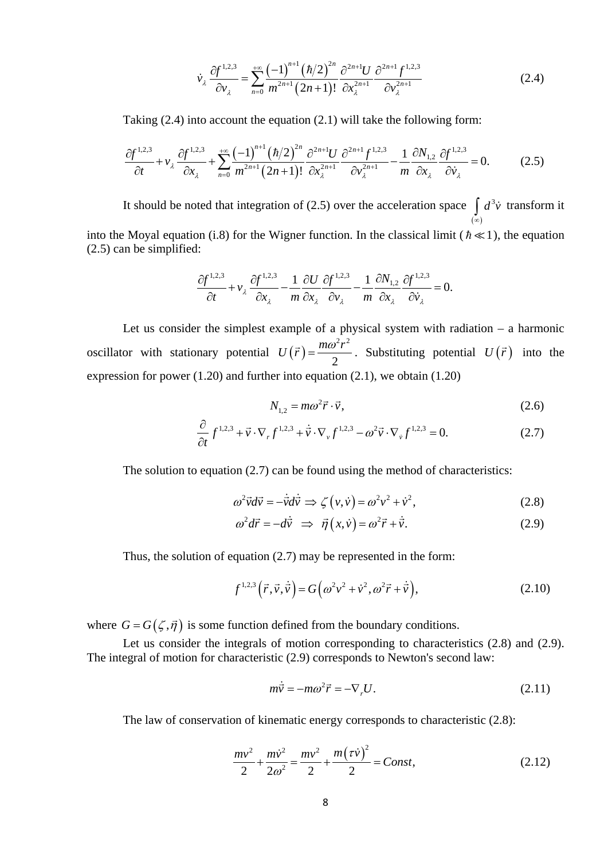$$
\dot{\nu}_{\lambda} \frac{\partial f^{1,2,3}}{\partial \nu_{\lambda}} = \sum_{n=0}^{+\infty} \frac{(-1)^{n+1} (\hbar/2)^{2n}}{m^{2n+1} (2n+1)!} \frac{\partial^{2n+1} U}{\partial x_{\lambda}^{2n+1}} \frac{\partial^{2n+1} f^{1,2,3}}{\partial \nu_{\lambda}^{2n+1}}
$$
(2.4)

Taking (2.4) into account the equation (2.1) will take the following form:

$$
\frac{\partial f^{1,2,3}}{\partial t} + v_{\lambda} \frac{\partial f^{1,2,3}}{\partial x_{\lambda}} + \sum_{n=0}^{+\infty} \frac{(-1)^{n+1} (\hbar/2)^{2n}}{m^{2n+1} (2n+1)!} \frac{\partial^{2n+1} J}{\partial x_{\lambda}^{2n+1}} \frac{\partial f^{1,2,3}}{\partial v_{\lambda}^{2n+1}} - \frac{1}{m} \frac{\partial N_{1,2}}{\partial x_{\lambda}} \frac{\partial f^{1,2,3}}{\partial v_{\lambda}} = 0.
$$
 (2.5)

It should be noted that integration of (2.5) over the acceleration space  $(\infty)$  $d^3\dot{v}$  $\int_{-\infty}^{\infty} d^3 \vec{v}$  transform it

into the Moyal equation (i.8) for the Wigner function. In the classical limit ( $\hbar \ll 1$ ), the equation (2.5) can be simplified:

$$
\frac{\partial f^{1,2,3}}{\partial t} + v_{\lambda} \frac{\partial f^{1,2,3}}{\partial x_{\lambda}} - \frac{1}{m} \frac{\partial U}{\partial x_{\lambda}} \frac{\partial f^{1,2,3}}{\partial v_{\lambda}} - \frac{1}{m} \frac{\partial N_{1,2}}{\partial x_{\lambda}} \frac{\partial f^{1,2,3}}{\partial v_{\lambda}} = 0.
$$

Let us consider the simplest example of a physical system with radiation – a harmonic oscillator with stationary potential  $U(\vec{r})$  $^{2}$   $^{2}$ 2  $U(\vec{r}) = \frac{m\omega^2 r^2}{g}$ . Substituting potential  $U(\vec{r})$  into the expression for power (1.20) and further into equation (2.1), we obtain (1.20)

$$
N_{1,2} = m\omega^2 \vec{r} \cdot \vec{v},\qquad(2.6)
$$

$$
\frac{\partial}{\partial t} f^{1,2,3} + \vec{v} \cdot \nabla_r f^{1,2,3} + \dot{\vec{v}} \cdot \nabla_v f^{1,2,3} - \omega^2 \vec{v} \cdot \nabla_v f^{1,2,3} = 0.
$$
 (2.7)

The solution to equation (2.7) can be found using the method of characteristics:

$$
\omega^2 \vec{v} d\vec{v} = -\dot{\vec{v}} d\dot{\vec{v}} \implies \zeta(\nu, \dot{\nu}) = \omega^2 \nu^2 + \dot{\nu}^2,\tag{2.8}
$$

$$
\omega^2 d\vec{r} = -d\dot{\vec{v}} \implies \vec{\eta}(x, \dot{v}) = \omega^2 \vec{r} + \dot{\vec{v}}.
$$
 (2.9)

Thus, the solution of equation (2.7) may be represented in the form:

$$
f^{1,2,3}(\vec{r},\vec{v},\dot{\vec{v}}) = G(\omega^2 v^2 + \dot{v}^2, \omega^2 \vec{r} + \dot{\vec{v}}),
$$
 (2.10)

where  $G = G(\zeta, \vec{\eta})$  is some function defined from the boundary conditions.

Let us consider the integrals of motion corresponding to characteristics  $(2.8)$  and  $(2.9)$ . The integral of motion for characteristic (2.9) corresponds to Newton's second law:

$$
m\dot{\vec{v}} = -m\omega^2 \vec{r} = -\nabla_r U. \tag{2.11}
$$

The law of conservation of kinematic energy corresponds to characteristic (2.8):

$$
\frac{mv^2}{2} + \frac{mv^2}{2\omega^2} = \frac{mv^2}{2} + \frac{m(\tau \dot{v})^2}{2} = Const,
$$
\n(2.12)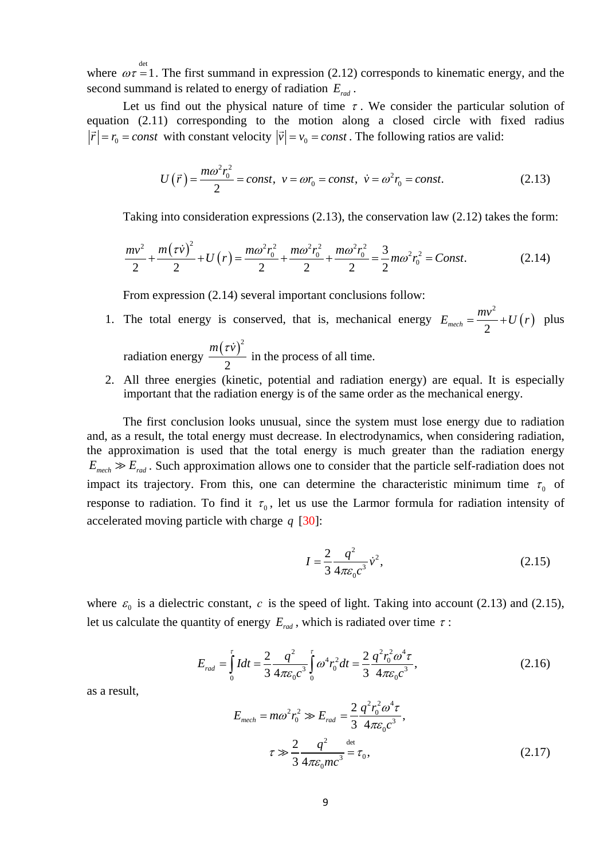where  $\omega \tau = 1$ . The first summand in expression (2.12) corresponds to kinematic energy, and the second summand is related to energy of radiation *Erad* .

Let us find out the physical nature of time  $\tau$ . We consider the particular solution of equation (2.11) corresponding to the motion along a closed circle with fixed radius  $|\vec{r}| = r_0 = const$  with constant velocity  $|\vec{v}| = v_0 = const$ . The following ratios are valid:

$$
U(\vec{r}) = \frac{m\omega^2 r_0^2}{2} = const, \ \ v = \omega r_0 = const, \ \ \dot{v} = \omega^2 r_0 = const.
$$
 (2.13)

Taking into consideration expressions (2.13), the conservation law (2.12) takes the form:

$$
\frac{mv^2}{2} + \frac{m(\tau \dot{v})^2}{2} + U(r) = \frac{m\omega^2 r_0^2}{2} + \frac{m\omega^2 r_0^2}{2} + \frac{m\omega^2 r_0^2}{2} = \frac{3}{2}m\omega^2 r_0^2 = Const.
$$
 (2.14)

From expression  $(2.14)$  several important conclusions follow:

- 1. The total energy is conserved, that is, mechanical energy  $E_{mech} = \frac{mv}{\lambda} + U(r)$ 2 2 *mech*  $E_{mech} = \frac{mv^2}{2} + U(r)$  plus radiation energy  $\frac{m(\tau \dot{v})^2}{2}$ 2  $\frac{m(\tau \nu)^2}{2}$  in the process of all time.
- 2. All three energies (kinetic, potential and radiation energy) are equal. It is especially important that the radiation energy is of the same order as the mechanical energy.

The first conclusion looks unusual, since the system must lose energy due to radiation and, as a result, the total energy must decrease. In electrodynamics, when considering radiation, the approximation is used that the total energy is much greater than the radiation energy  $E_{\text{mech}} \gg E_{\text{rad}}$ . Such approximation allows one to consider that the particle self-radiation does not impact its trajectory. From this, one can determine the characteristic minimum time  $\tau_0$  of response to radiation. To find it  $\tau_0$ , let us use the Larmor formula for radiation intensity of accelerated moving particle with charge *q* [30]:

$$
I = \frac{2}{3} \frac{q^2}{4\pi \varepsilon_0 c^3} \dot{v}^2,
$$
 (2.15)

where  $\varepsilon_0$  is a dielectric constant, *c* is the speed of light. Taking into account (2.13) and (2.15), let us calculate the quantity of energy  $E_{rad}$ , which is radiated over time  $\tau$ :

$$
E_{rad} = \int_{0}^{t} I dt = \frac{2}{3} \frac{q^2}{4\pi \varepsilon_0 c^3} \int_{0}^{t} \omega^4 r_0^2 dt = \frac{2}{3} \frac{q^2 r_0^2 \omega^4 \tau}{4\pi \varepsilon_0 c^3},
$$
 (2.16)

as a result,

$$
E_{\text{mech}} = m\omega^2 r_0^2 \gg E_{\text{rad}} = \frac{2}{3} \frac{q^2 r_0^2 \omega^4 \tau}{4\pi \varepsilon_0 c^3},
$$
  

$$
\tau \gg \frac{2}{3} \frac{q^2}{4\pi \varepsilon_0 m c^3} \stackrel{\text{det}}{=} \tau_0,
$$
 (2.17)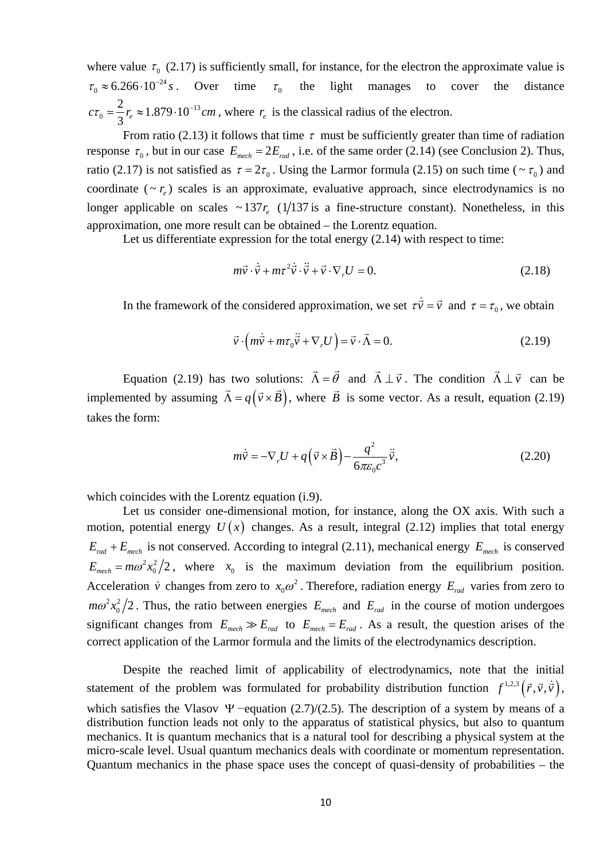where value  $\tau_0$  (2.17) is sufficiently small, for instance, for the electron the approximate value is  $\tau_0 \approx 6.266 \cdot 10^{-24} s$ . Over time  $\tau_0$  the light manages to cover the distance 13  $c\tau_0 = \frac{2}{3}r_e \approx 1.879 \cdot 10^{-13}$  *cm*, where  $r_e$  is the classical radius of the electron.

From ratio (2.13) it follows that time  $\tau$  must be sufficiently greater than time of radiation response  $\tau_0$ , but in our case  $E_{\text{mech}} = 2E_{\text{rad}}$ , i.e. of the same order (2.14) (see Conclusion 2). Thus, ratio (2.17) is not satisfied as  $\tau = 2\tau_0$ . Using the Larmor formula (2.15) on such time (  $\sim \tau_0$ ) and coordinate  $({\sim}r_e)$  scales is an approximate, evaluative approach, since electrodynamics is no longer applicable on scales  $\sim 137 r_e$  (1/137 is a fine-structure constant). Nonetheless, in this approximation, one more result can be obtained – the Lorentz equation.

Let us differentiate expression for the total energy  $(2.14)$  with respect to time:

$$
m\vec{v} \cdot \dot{\vec{v}} + m\tau^2 \dot{\vec{v}} \cdot \ddot{\vec{v}} + \vec{v} \cdot \nabla_r U = 0.
$$
 (2.18)

In the framework of the considered approximation, we set  $\tau \dot{\vec{v}} = \vec{v}$  and  $\tau = \tau_0$ , we obtain

$$
\vec{v} \cdot \left(m\dot{\vec{v}} + m\tau_0 \ddot{\vec{v}} + \nabla_r U\right) = \vec{v} \cdot \vec{\Lambda} = 0.
$$
 (2.19)

Equation (2.19) has two solutions:  $\vec{\Lambda} = \vec{\theta}$  and  $\vec{\Lambda} \perp \vec{v}$ . The condition  $\vec{\Lambda} \perp \vec{v}$  can be implemented by assuming  $\vec{\Lambda} = q(\vec{v} \times \vec{B})$ , where  $\vec{B}$  is some vector. As a result, equation (2.19) takes the form:

$$
m\dot{\vec{v}} = -\nabla_r U + q\left(\vec{v} \times \vec{B}\right) - \frac{q^2}{6\pi\varepsilon_0 c^3} \dot{\vec{v}},
$$
\n(2.20)

which coincides with the Lorentz equation (i.9).

Let us consider one-dimensional motion, for instance, along the OX axis. With such a motion, potential energy  $U(x)$  changes. As a result, integral (2.12) implies that total energy  $E_{rad} + E_{mech}$  is not conserved. According to integral (2.11), mechanical energy  $E_{mech}$  is conserved  $E_{\text{mech}} = m\omega^2 x_0^2/2$ , where  $x_0$  is the maximum deviation from the equilibrium position. Acceleration  $\dot{v}$  changes from zero to  $x_0 \omega^2$ . Therefore, radiation energy  $E_{rad}$  varies from zero to  $m\omega^2 x_0^2/2$ . Thus, the ratio between energies  $E_{mech}$  and  $E_{rad}$  in the course of motion undergoes significant changes from  $E_{\text{mech}} \gg E_{\text{rad}}$  to  $E_{\text{mech}} = E_{\text{rad}}$ . As a result, the question arises of the correct application of the Larmor formula and the limits of the electrodynamics description.

Despite the reached limit of applicability of electrodynamics, note that the initial statement of the problem was formulated for probability distribution function  $f^{1,2,3}(\vec{r},\vec{v},\dot{\vec{v}})$ , which satisfies the Vlasov  $\Psi$  −equation (2.7)/(2.5). The description of a system by means of a distribution function leads not only to the apparatus of statistical physics, but also to quantum mechanics. It is quantum mechanics that is a natural tool for describing a physical system at the micro-scale level. Usual quantum mechanics deals with coordinate or momentum representation. Quantum mechanics in the phase space uses the concept of quasi-density of probabilities – the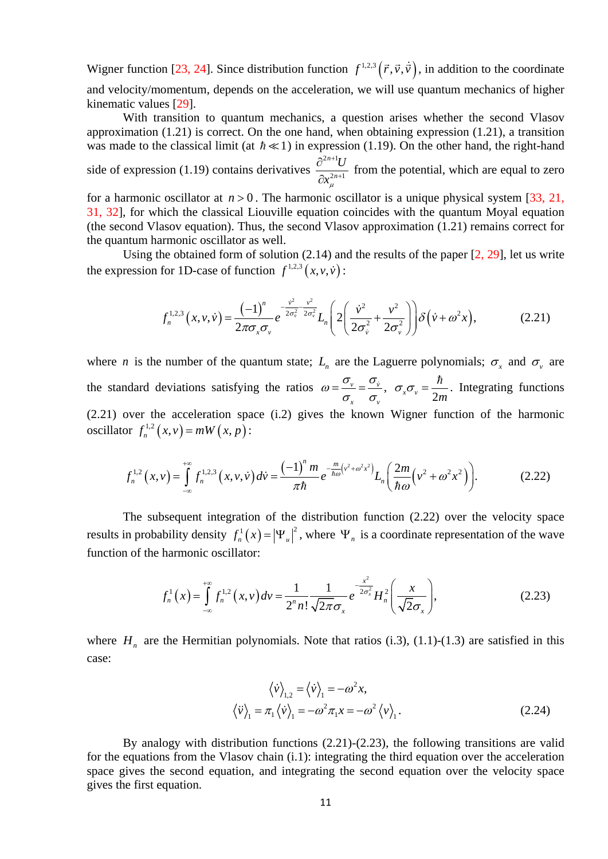Wigner function [23, 24]. Since distribution function  $f^{1,2,3}(\vec{r},\vec{v},\dot{\vec{v}})$ , in addition to the coordinate and velocity/momentum, depends on the acceleration, we will use quantum mechanics of higher kinematic values [29].

With transition to quantum mechanics, a question arises whether the second Vlasov approximation (1.21) is correct. On the one hand, when obtaining expression (1.21), a transition was made to the classical limit (at  $\hbar \ll 1$ ) in expression (1.19). On the other hand, the right-hand  $2n+1$ *n* +

side of expression (1.19) contains derivatives  $2n+1$ *n U*  $x_{\mu}^2$ + ∂ ∂ from the potential, which are equal to zero

for a harmonic oscillator at  $n > 0$ . The harmonic oscillator is a unique physical system [33, 21, 31, 32], for which the classical Liouville equation coincides with the quantum Moyal equation (the second Vlasov equation). Thus, the second Vlasov approximation (1.21) remains correct for the quantum harmonic oscillator as well.

Using the obtained form of solution (2.14) and the results of the paper [2, 29], let us write the expression for 1D-case of function  $f^{1,2,3}(x, v, \dot{v})$ :

$$
f_n^{1,2,3}(x,\nu,\dot{\nu}) = \frac{(-1)^n}{2\pi\sigma_x\sigma_v} e^{-\frac{\dot{\nu}^2}{2\sigma_v^2} - \frac{\nu^2}{2\sigma_v^2}} L_n\left(2\left(\frac{\dot{\nu}^2}{2\sigma_v^2} + \frac{\nu^2}{2\sigma_v^2}\right)\right) \delta\left(\dot{\nu} + \omega^2 x\right),\tag{2.21}
$$

where *n* is the number of the quantum state;  $L<sub>r</sub>$  are the Laguerre polynomials;  $\sigma<sub>r</sub>$  and  $\sigma<sub>v</sub>$  are the standard deviations satisfying the ratios  $\omega = \frac{v_y}{v} = \frac{v_y}{v}$  $\mathbf{v}$   $\mathbf{v}$  $\omega = \frac{\sigma_{\nu}}{\sigma_{\nu}} = \frac{\sigma_{\dot{\nu}}}{\sigma_{\nu}}, \quad \sigma_{\nu} \sigma_{\nu} = \frac{\hbar}{2m}$ . Integrating functions (2.21) over the acceleration space (i.2) gives the known Wigner function of the harmonic oscillator  $f_n^{1,2}(x, v) = mW(x, p)$ :

$$
f_n^{1,2}(x,v) = \int_{-\infty}^{+\infty} f_n^{1,2,3}(x,v,\dot{v}) dv = \frac{(-1)^n m}{\pi \hbar} e^{-\frac{m}{\hbar \omega} (v^2 + \omega^2 x^2)} L_n \left( \frac{2m}{\hbar \omega} (v^2 + \omega^2 x^2) \right).
$$
 (2.22)

The subsequent integration of the distribution function (2.22) over the velocity space results in probability density  $f_n^1(x) = |\Psi_u|^2$ , where  $\Psi_n$  is a coordinate representation of the wave function of the harmonic oscillator:

$$
f_n^1(x) = \int_{-\infty}^{+\infty} f_n^{1,2}(x, v) dv = \frac{1}{2^n n!} \frac{1}{\sqrt{2\pi}\sigma_x} e^{-\frac{x^2}{2\sigma_x^2}} H_n^2\left(\frac{x}{\sqrt{2}\sigma_x}\right),
$$
 (2.23)

where  $H_n$  are the Hermitian polynomials. Note that ratios (i.3), (1.1)-(1.3) are satisfied in this case:

$$
\langle \dot{v} \rangle_{1,2} = \langle \dot{v} \rangle_{1} = -\omega^2 x,
$$
  

$$
\langle \ddot{v} \rangle_{1} = \pi_1 \langle \dot{v} \rangle_{1} = -\omega^2 \pi_1 x = -\omega^2 \langle v \rangle_{1}.
$$
 (2.24)

By analogy with distribution functions (2.21)-(2.23), the following transitions are valid for the equations from the Vlasov chain (i.1): integrating the third equation over the acceleration space gives the second equation, and integrating the second equation over the velocity space gives the first equation.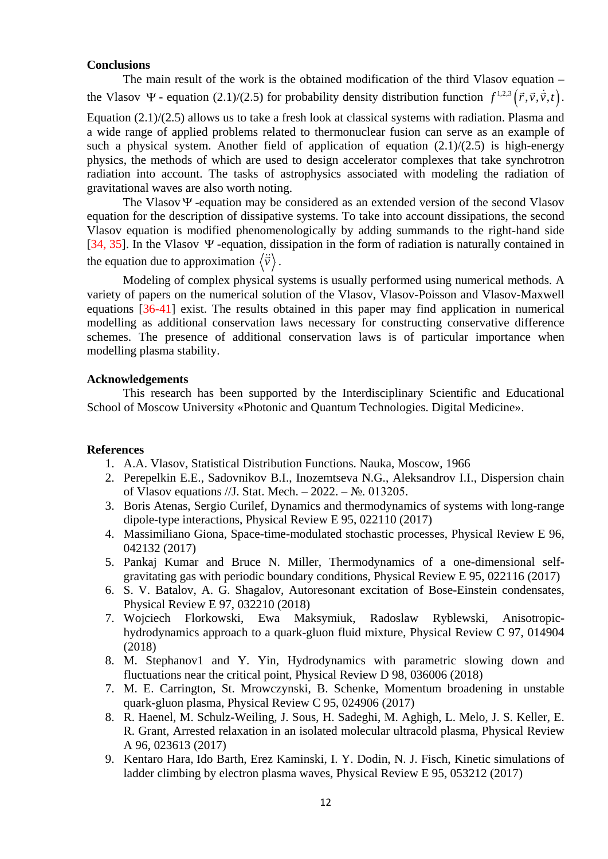# **Conclusions**

The main result of the work is the obtained modification of the third Vlasov equation – the Vlasov  $\Psi$  - equation (2.1)/(2.5) for probability density distribution function  $f^{1,2,3}(\vec{r},\vec{v},\dot{\vec{v}},t)$ .

Equation (2.1)/(2.5) allows us to take a fresh look at classical systems with radiation. Plasma and a wide range of applied problems related to thermonuclear fusion can serve as an example of such a physical system. Another field of application of equation  $(2.1)/(2.5)$  is high-energy physics, the methods of which are used to design accelerator complexes that take synchrotron radiation into account. The tasks of astrophysics associated with modeling the radiation of gravitational waves are also worth noting.

The VlasovΨ -equation may be considered as an extended version of the second Vlasov equation for the description of dissipative systems. To take into account dissipations, the second Vlasov equation is modified phenomenologically by adding summands to the right-hand side [34, 35]. In the Vlasov Ψ -equation, dissipation in the form of radiation is naturally contained in the equation due to approximation  $\langle \ddot{\vec{v}} \rangle$ .

Modeling of complex physical systems is usually performed using numerical methods. A variety of papers on the numerical solution of the Vlasov, Vlasov-Poisson and Vlasov-Maxwell equations [36-41] exist. The results obtained in this paper may find application in numerical modelling as additional conservation laws necessary for constructing conservative difference schemes. The presence of additional conservation laws is of particular importance when modelling plasma stability.

# **Acknowledgements**

This research has been supported by the Interdisciplinary Scientific and Educational School of Moscow University «Photonic and Quantum Technologies. Digital Medicine».

### **References**

- 1. A.A. Vlasov, Statistical Distribution Functions. Nauka, Moscow, 1966
- 2. Perepelkin E.E., Sadovnikov B.I., Inozemtseva N.G., Aleksandrov I.I., Dispersion chain of Vlasov equations //J. Stat. Mech. – 2022. – №. 013205.
- 3. Boris Atenas, Sergio Curilef, Dynamics and thermodynamics of systems with long-range dipole-type interactions, Physical Review E 95, 022110 (2017)
- 4. Massimiliano Giona, Space-time-modulated stochastic processes, Physical Review E 96, 042132 (2017)
- 5. Pankaj Kumar and Bruce N. Miller, Thermodynamics of a one-dimensional selfgravitating gas with periodic boundary conditions, Physical Review E 95, 022116 (2017)
- 6. S. V. Batalov, A. G. Shagalov, Autoresonant excitation of Bose-Einstein condensates, Physical Review E 97, 032210 (2018)<br>Wojciech Florkowski, Ewa Maksymiuk.
- 7. Wojciech Florkowski, Ewa Maksymiuk, Radoslaw Ryblewski, Anisotropichydrodynamics approach to a quark-gluon fluid mixture, Physical Review C 97, 014904 (2018)
- 8. M. Stephanov1 and Y. Yin, Hydrodynamics with parametric slowing down and fluctuations near the critical point, Physical Review D 98, 036006 (2018)
- 7. M. E. Carrington, St. Mrowczynski, B. Schenke, Momentum broadening in unstable quark-gluon plasma, Physical Review C 95, 024906 (2017)
- 8. R. Haenel, M. Schulz-Weiling, J. Sous, H. Sadeghi, M. Aghigh, L. Melo, J. S. Keller, E. R. Grant, Arrested relaxation in an isolated molecular ultracold plasma, Physical Review A 96, 023613 (2017)
- 9. Kentaro Hara, Ido Barth, Erez Kaminski, I. Y. Dodin, N. J. Fisch, Kinetic simulations of ladder climbing by electron plasma waves, Physical Review E 95, 053212 (2017)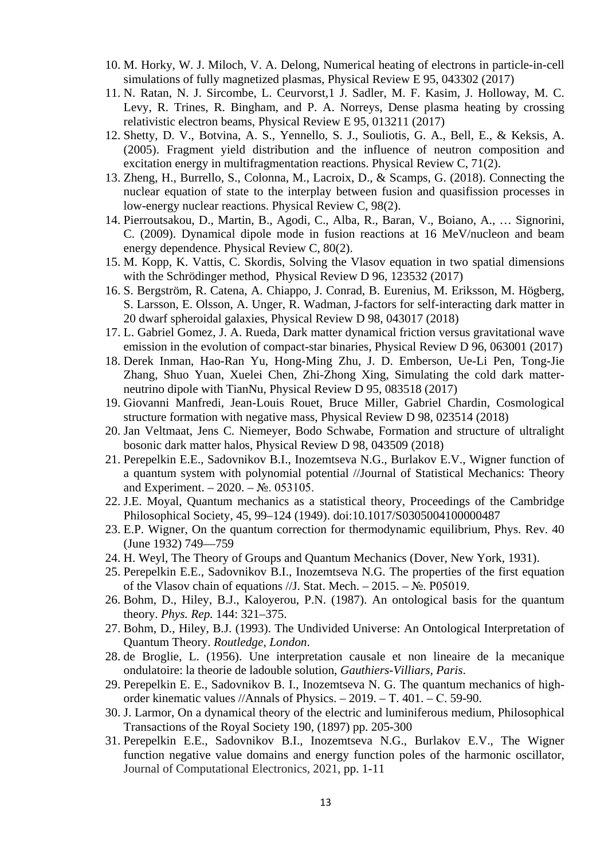- 10. M. Horky, W. J. Miloch, V. A. Delong, Numerical heating of electrons in particle-in-cell simulations of fully magnetized plasmas, Physical Review E 95, 043302 (2017)
- 11. N. Ratan, N. J. Sircombe, L. Ceurvorst,1 J. Sadler, M. F. Kasim, J. Holloway, M. C. Levy, R. Trines, R. Bingham, and P. A. Norreys, Dense plasma heating by crossing relativistic electron beams, Physical Review E 95, 013211 (2017)
- 12. Shetty, D. V., Botvina, A. S., Yennello, S. J., Souliotis, G. A., Bell, E., & Keksis, A. (2005). Fragment yield distribution and the influence of neutron composition and excitation energy in multifragmentation reactions. Physical Review C, 71(2).
- 13. Zheng, H., Burrello, S., Colonna, M., Lacroix, D., & Scamps, G. (2018). Connecting the nuclear equation of state to the interplay between fusion and quasifission processes in low-energy nuclear reactions. Physical Review C, 98(2).
- 14. Pierroutsakou, D., Martin, B., Agodi, C., Alba, R., Baran, V., Boiano, A., … Signorini, C. (2009). Dynamical dipole mode in fusion reactions at 16 MeV/nucleon and beam energy dependence. Physical Review C, 80(2).
- 15. M. Kopp, K. Vattis, C. Skordis, Solving the Vlasov equation in two spatial dimensions with the Schrödinger method, Physical Review D 96, 123532 (2017)
- 16. S. Bergström, R. Catena, A. Chiappo, J. Conrad, B. Eurenius, M. Eriksson, M. Högberg, S. Larsson, E. Olsson, A. Unger, R. Wadman, J-factors for self-interacting dark matter in 20 dwarf spheroidal galaxies, Physical Review D 98, 043017 (2018)
- 17. L. Gabriel Gomez, J. A. Rueda, Dark matter dynamical friction versus gravitational wave emission in the evolution of compact-star binaries, Physical Review D 96, 063001 (2017)
- 18. Derek Inman, Hao-Ran Yu, Hong-Ming Zhu, J. D. Emberson, Ue-Li Pen, Tong-Jie Zhang, Shuo Yuan, Xuelei Chen, Zhi-Zhong Xing, Simulating the cold dark matterneutrino dipole with TianNu, Physical Review D 95, 083518 (2017)
- 19. Giovanni Manfredi, Jean-Louis Rouet, Bruce Miller, Gabriel Chardin, Cosmological structure formation with negative mass, Physical Review D 98, 023514 (2018)
- 20. Jan Veltmaat, Jens C. Niemeyer, Bodo Schwabe, Formation and structure of ultralight bosonic dark matter halos, Physical Review D 98, 043509 (2018)
- 21. Perepelkin E.E., Sadovnikov B.I., Inozemtseva N.G., Burlakov E.V., Wigner function of a quantum system with polynomial potential //Journal of Statistical Mechanics: Theory and Experiment. –  $2020. - N_2$ . 053105.
- 22. J.E. Moyal, Quantum mechanics as a statistical theory, Proceedings of the Cambridge Philosophical Society, 45, 99–124 (1949). doi:10.1017/S0305004100000487
- 23. E.P. Wigner, On the quantum correction for thermodynamic equilibrium, Phys. Rev. 40 (June 1932) 749—759
- 24. H. Weyl, The Theory of Groups and Quantum Mechanics (Dover, New York, 1931).
- 25. Perepelkin E.E., Sadovnikov B.I., Inozemtseva N.G. The properties of the first equation of the Vlasov chain of equations //J. Stat. Mech. – 2015. –  $\mathbb{N}_2$ . P05019.
- 26. Bohm, D., Hiley, B.J., Kaloyerou, P.N. (1987). An ontological basis for the quantum theory. *Phys. Rep.* 144: 321–375.
- 27. Bohm, D., Hiley, B.J. (1993). The Undivided Universe: An Ontological Interpretation of Quantum Theory. *Routledge, London*.
- 28. de Broglie, L. (1956). Une interpretation causale et non lineaire de la mecanique ondulatoire: la theorie de ladouble solution, *Gauthiers-Villiars, Paris*.
- 29. Perepelkin E. E., Sadovnikov B. I., Inozemtseva N. G. The quantum mechanics of highorder kinematic values //Annals of Physics. – 2019. – Т. 401. – С. 59-90.
- 30. J. Larmor, On a dynamical theory of the electric and luminiferous medium, Philosophical Transactions of the Royal Society 190, (1897) pp. 205-300
- 31. Perepelkin E.E., Sadovnikov B.I., Inozemtseva N.G., Burlakov E.V., The Wigner function negative value domains and energy function poles of the harmonic oscillator, Journal of Computational Electronics, 2021, pp. 1-11